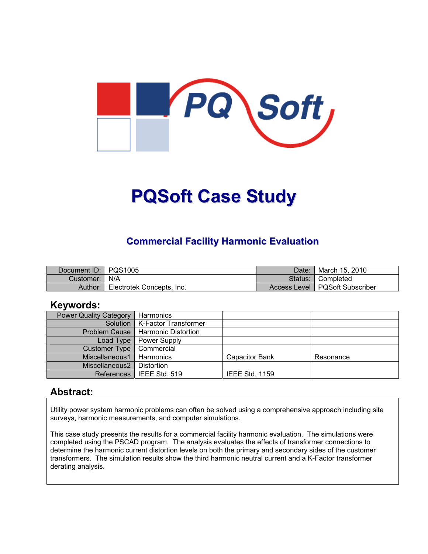

# **PQSoft Case Study**

### **Commercial Facility Harmonic Evaluation**

| Document ID: PQS1005 |                           | Date:   | <sup>¶</sup> March 15, 2010      |
|----------------------|---------------------------|---------|----------------------------------|
| Customer:   N/A      |                           | Status: | ■ Completed                      |
| Author:              | Electrotek Concepts, Inc. |         | Access Level   PQSoft Subscriber |

#### **Keywords:**

| <b>Power Quality Category</b> | Harmonics                           |                       |           |
|-------------------------------|-------------------------------------|-----------------------|-----------|
|                               | Solution   K-Factor Transformer     |                       |           |
|                               | Problem Cause   Harmonic Distortion |                       |           |
| Load Type                     | <b>Power Supply</b>                 |                       |           |
| Customer Type                 | Commercial                          |                       |           |
| Miscellaneous1                | Harmonics                           | <b>Capacitor Bank</b> | Resonance |
| Miscellaneous2                | Distortion                          |                       |           |
| <b>References</b>             | IEEE Std. 519                       | <b>IEEE Std. 1159</b> |           |

#### **Abstract:**

Utility power system harmonic problems can often be solved using a comprehensive approach including site surveys, harmonic measurements, and computer simulations.

This case study presents the results for a commercial facility harmonic evaluation. The simulations were completed using the PSCAD program. The analysis evaluates the effects of transformer connections to determine the harmonic current distortion levels on both the primary and secondary sides of the customer transformers. The simulation results show the third harmonic neutral current and a K-Factor transformer derating analysis.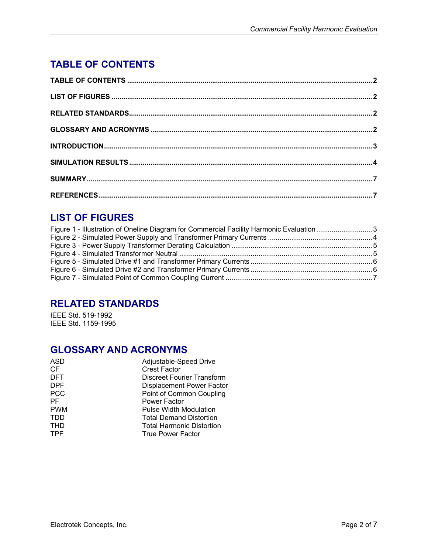## <span id="page-1-0"></span>**TABLE OF CONTENTS**

## **LIST OF FIGURES**

| Figure 1 - Illustration of Oneline Diagram for Commercial Facility Harmonic Evaluation 3 |  |
|------------------------------------------------------------------------------------------|--|
|                                                                                          |  |
|                                                                                          |  |
|                                                                                          |  |
|                                                                                          |  |
|                                                                                          |  |
|                                                                                          |  |
|                                                                                          |  |

## **RELATED STANDARDS**

IEEE Std. 519-1992 IEEE Std. 1159-1995

### **GLOSSARY AND ACRONYMS**

| <b>ASD</b> | Adjustable-Speed Drive           |
|------------|----------------------------------|
| CF         | <b>Crest Factor</b>              |
| <b>DFT</b> | Discreet Fourier Transform       |
| <b>DPF</b> | <b>Displacement Power Factor</b> |
| <b>PCC</b> | Point of Common Coupling         |
| PF         | Power Factor                     |
| <b>PWM</b> | <b>Pulse Width Modulation</b>    |
| <b>TDD</b> | <b>Total Demand Distortion</b>   |
| <b>THD</b> | <b>Total Harmonic Distortion</b> |
| <b>TPF</b> | <b>True Power Factor</b>         |
|            |                                  |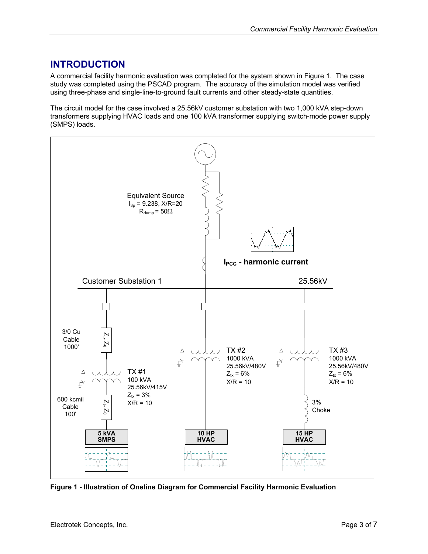### <span id="page-2-0"></span>**INTRODUCTION**

A commercial facility harmonic evaluation was completed for the system shown in [Figure 1.](#page-2-1) The case study was completed using the PSCAD program. The accuracy of the simulation model was verified using three-phase and single-line-to-ground fault currents and other steady-state quantities.

The circuit model for the case involved a 25.56kV customer substation with two 1,000 kVA step-down transformers supplying HVAC loads and one 100 kVA transformer supplying switch-mode power supply (SMPS) loads.

<span id="page-2-1"></span>

**Figure 1 - Illustration of Oneline Diagram for Commercial Facility Harmonic Evaluation**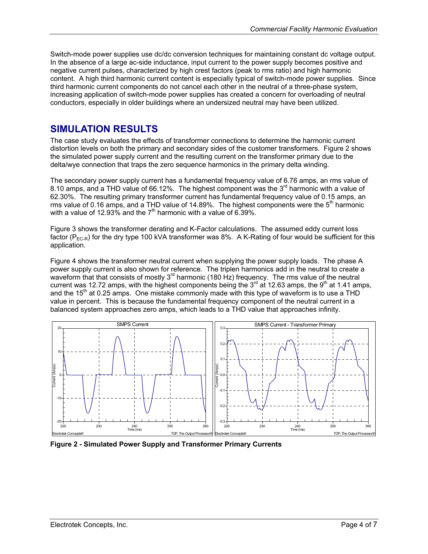<span id="page-3-0"></span>Switch-mode power supplies use dc/dc conversion techniques for maintaining constant dc voltage output. In the absence of a large ac-side inductance, input current to the power supply becomes positive and negative current pulses, characterized by high crest factors (peak to rms ratio) and high harmonic content. A high third harmonic current content is especially typical of switch-mode power supplies. Since third harmonic current components do not cancel each other in the neutral of a three-phase system, increasing application of switch-mode power supplies has created a concern for overloading of neutral conductors, especially in older buildings where an undersized neutral may have been utilized.

#### **SIMULATION RESULTS**

The case study evaluates the effects of transformer connections to determine the harmonic current distortion levels on both the primary and secondary sides of the customer transformers. [Figure 2 s](#page-3-1)hows the simulated power supply current and the resulting current on the transformer primary due to the delta/wye connection that traps the zero sequence harmonics in the primary delta winding.

The secondary power supply current has a fundamental frequency value of 6.76 amps, an rms value of 8.10 amps, and a THD value of 66.12%. The highest component was the  $3<sup>rd</sup>$  harmonic with a value of 62.30%. The resulting primary transformer current has fundamental frequency value of 0.15 amps, an rms value of 0.16 amps, and a THD value of 14.89%. The highest components were the  $5<sup>th</sup>$  harmonic with a value of 12.93% and the  $7<sup>th</sup>$  harmonic with a value of 6.39%.

[Figure 3](#page-4-1) shows the transformer derating and K-Factor calculations. The assumed eddy current loss factor ( $P_{EC-R}$ ) for the dry type 100 kVA transformer was 8%. A K-Rating of four would be sufficient for this application.

[Figure 4](#page-4-2) shows the transformer neutral current when supplying the power supply loads. The phase A power supply current is also shown for reference. The triplen harmonics add in the neutral to create a waveform that that consists of mostly 3<sup>rd</sup> harmonic (180 Hz) frequency. The rms value of the neutral current was 12.72 amps, with the highest components being the  $3<sup>rd</sup>$  at 12.63 amps, the  $9<sup>th</sup>$  at 1.41 amps, and the  $15<sup>th</sup>$  at 0.25 amps. One mistake commonly made with this type of waveform is to use a THD value in percent. This is because the fundamental frequency component of the neutral current in a balanced system approaches zero amps, which leads to a THD value that approaches infinity.

<span id="page-3-1"></span>

**Figure 2 - Simulated Power Supply and Transformer Primary Currents**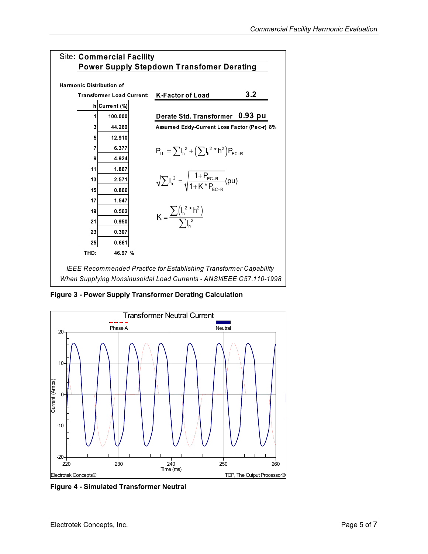<span id="page-4-1"></span><span id="page-4-0"></span>

**Figure 3 - Power Supply Transformer Derating Calculation** 

<span id="page-4-2"></span>

**Figure 4 - Simulated Transformer Neutral**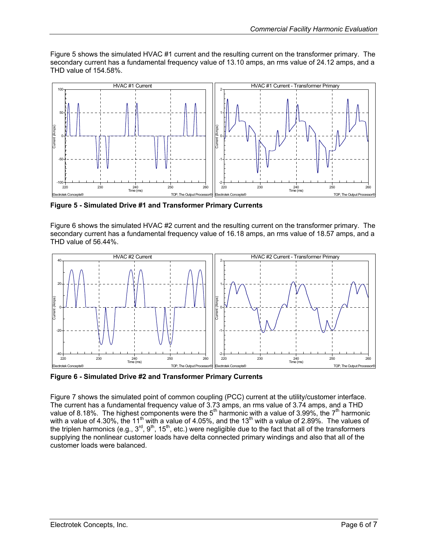<span id="page-5-0"></span>[Figure 5](#page-5-1) shows the simulated HVAC #1 current and the resulting current on the transformer primary. The secondary current has a fundamental frequency value of 13.10 amps, an rms value of 24.12 amps, and a THD value of 154.58%.

<span id="page-5-1"></span>

**Figure 5 - Simulated Drive #1 and Transformer Primary Currents** 

[Figure 6](#page-5-2) shows the simulated HVAC #2 current and the resulting current on the transformer primary. The secondary current has a fundamental frequency value of 16.18 amps, an rms value of 18.57 amps, and a THD value of 56.44%.

<span id="page-5-2"></span>

**Figure 6 - Simulated Drive #2 and Transformer Primary Currents** 

[Figure 7](#page-6-1) shows the simulated point of common coupling (PCC) current at the utility/customer interface. The current has a fundamental frequency value of 3.73 amps, an rms value of 3.74 amps, and a THD value of 8.18%. The highest components were the 5<sup>th</sup> harmonic with a value of 3.99%, the 7<sup>th</sup> harmonic with a value of 4.30%, the 11<sup>th</sup> with a value of 4.05%, and the 13<sup>th</sup> with a value of 2.89%. The values of the triplen harmonics (e.g., 3<sup>rd</sup>, 9<sup>th</sup>, 15<sup>th</sup>, etc.) were negligible due to the fact that all of the transformers supplying the nonlinear customer loads have delta connected primary windings and also that all of the customer loads were balanced.